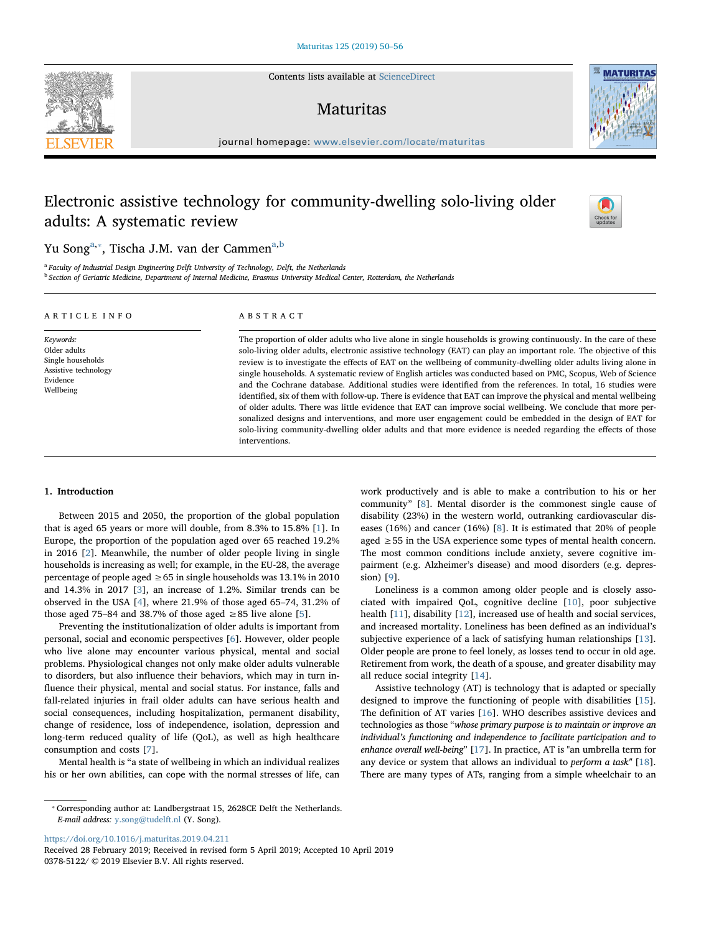Contents lists available at [ScienceDirect](http://www.sciencedirect.com/science/journal/03785122)

## **Maturitas**

journal homepage: [www.elsevier.com/locate/maturitas](https://www.elsevier.com/locate/maturitas)

# Electronic assistive technology for community-dwelling solo-living older adults: A systematic review

Yu Song<sup>[a,](#page-0-0)</sup>\*, Tisch[a](#page-0-0) J.M. van der Cammen<sup>a[,b](#page-0-2)</sup>

<span id="page-0-2"></span><span id="page-0-0"></span><sup>a</sup> Faculty of Industrial Design Engineering Delft University of Technology, Delft, the Netherlands <sup>b</sup> Section of Geriatric Medicine, Department of Internal Medicine, Erasmus University Medical Center, Rotterdam, the Netherlands

interventions.

| ARTICLE INFO                                                                                    | ABSTRACT                                                                                                                                                                                                                                                                                                                                                                                                                                                                                                                                                                                                                                                                                                                                                                                                                                                                                                                                                                                                                                                 |  |  |  |  |
|-------------------------------------------------------------------------------------------------|----------------------------------------------------------------------------------------------------------------------------------------------------------------------------------------------------------------------------------------------------------------------------------------------------------------------------------------------------------------------------------------------------------------------------------------------------------------------------------------------------------------------------------------------------------------------------------------------------------------------------------------------------------------------------------------------------------------------------------------------------------------------------------------------------------------------------------------------------------------------------------------------------------------------------------------------------------------------------------------------------------------------------------------------------------|--|--|--|--|
| Keywords:<br>Older adults<br>Single households<br>Assistive technology<br>Evidence<br>Wellbeing | The proportion of older adults who live alone in single households is growing continuously. In the care of these<br>solo-living older adults, electronic assistive technology (EAT) can play an important role. The objective of this<br>review is to investigate the effects of EAT on the wellbeing of community-dwelling older adults living alone in<br>single households. A systematic review of English articles was conducted based on PMC, Scopus, Web of Science<br>and the Cochrane database. Additional studies were identified from the references. In total, 16 studies were<br>identified, six of them with follow-up. There is evidence that EAT can improve the physical and mental wellbeing<br>of older adults. There was little evidence that EAT can improve social wellbeing. We conclude that more per-<br>sonalized designs and interventions, and more user engagement could be embedded in the design of EAT for<br>solo-living community-dwelling older adults and that more evidence is needed regarding the effects of those |  |  |  |  |

## 1. Introduction

Between 2015 and 2050, the proportion of the global population that is aged 65 years or more will double, from 8.3% to 15.8% [[1](#page-5-0)]. In Europe, the proportion of the population aged over 65 reached 19.2% in 2016 [[2](#page-5-1)]. Meanwhile, the number of older people living in single households is increasing as well; for example, in the EU-28, the average percentage of people aged  $\geq 65$  in single households was 13.1% in 2010 and 14.3% in 2017 [\[3\]](#page-5-2), an increase of 1.2%. Similar trends can be observed in the USA [[4](#page-5-3)], where 21.9% of those aged 65–74, 31.2% of those aged 75–84 and 38.7% of those aged  $\geq 85$  live alone [\[5\]](#page-5-4).

Preventing the institutionalization of older adults is important from personal, social and economic perspectives [[6](#page-5-5)]. However, older people who live alone may encounter various physical, mental and social problems. Physiological changes not only make older adults vulnerable to disorders, but also influence their behaviors, which may in turn influence their physical, mental and social status. For instance, falls and fall-related injuries in frail older adults can have serious health and social consequences, including hospitalization, permanent disability, change of residence, loss of independence, isolation, depression and long-term reduced quality of life (QoL), as well as high healthcare consumption and costs [[7](#page-5-6)].

Mental health is "a state of wellbeing in which an individual realizes his or her own abilities, can cope with the normal stresses of life, can

<https://doi.org/10.1016/j.maturitas.2019.04.211>

Received 28 February 2019; Received in revised form 5 April 2019; Accepted 10 April 2019 0378-5122/ © 2019 Elsevier B.V. All rights reserved.





Check fo

work productively and is able to make a contribution to his or her community" [[8](#page-5-7)]. Mental disorder is the commonest single cause of disability (23%) in the western world, outranking cardiovascular diseases (16%) and cancer (16%) [\[8\]](#page-5-7). It is estimated that 20% of people aged ≥55 in the USA experience some types of mental health concern. The most common conditions include anxiety, severe cognitive impairment (e.g. Alzheimer's disease) and mood disorders (e.g. depression) [\[9\]](#page-5-8).

Loneliness is a common among older people and is closely associated with impaired QoL, cognitive decline [[10\]](#page-5-9), poor subjective health [\[11](#page-5-10)], disability [[12\]](#page-5-11), increased use of health and social services, and increased mortality. Loneliness has been defined as an individual's subjective experience of a lack of satisfying human relationships [\[13](#page-5-12)]. Older people are prone to feel lonely, as losses tend to occur in old age. Retirement from work, the death of a spouse, and greater disability may all reduce social integrity [\[14](#page-5-13)].

Assistive technology (AT) is technology that is adapted or specially designed to improve the functioning of people with disabilities [\[15](#page-5-14)]. The definition of AT varies [\[16](#page-5-15)]. WHO describes assistive devices and technologies as those "whose primary purpose is to maintain or improve an individual's functioning and independence to facilitate participation and to enhance overall well-being" [[17\]](#page-6-0). In practice, AT is "an umbrella term for any device or system that allows an individual to *perform a task"* [\[18](#page-6-1)]. There are many types of ATs, ranging from a simple wheelchair to an

<span id="page-0-1"></span><sup>⁎</sup> Corresponding author at: Landbergstraat 15, 2628CE Delft the Netherlands. E-mail address: [y.song@tudelft.nl](mailto:y.song@tudelft.nl) (Y. Song).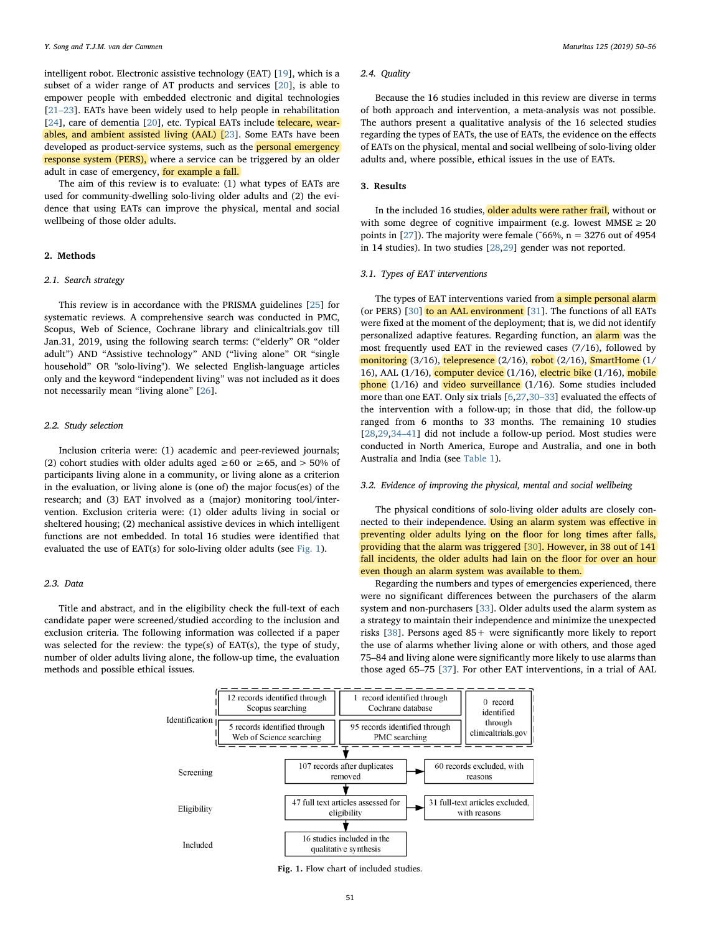intelligent robot. Electronic assistive technology (EAT) [\[19](#page-6-2)], which is a subset of a wider range of AT products and services [\[20](#page-6-3)], is able to empower people with embedded electronic and digital technologies [21–[23\]](#page-6-4). EATs have been widely used to help people in rehabilitation [[24\]](#page-6-5), care of dementia [[20\]](#page-6-3), etc. Typical EATs include telecare, wearables, and ambient assisted living (AAL) [[23\]](#page-6-6). Some EATs have been developed as product-service systems, such as the **personal emergency** response system (PERS), where a service can be triggered by an older adult in case of emergency, for example a fall.

The aim of this review is to evaluate: (1) what types of EATs are used for community-dwelling solo-living older adults and (2) the evidence that using EATs can improve the physical, mental and social wellbeing of those older adults.

## 2. Methods

## 2.1. Search strategy

This review is in accordance with the PRISMA guidelines [\[25](#page-6-7)] for systematic reviews. A comprehensive search was conducted in PMC, Scopus, Web of Science, Cochrane library and clinicaltrials.gov till Jan.31, 2019, using the following search terms: ("elderly" OR "older adult") AND "Assistive technology" AND ("living alone" OR "single household" OR "solo-living"). We selected English-language articles only and the keyword "independent living" was not included as it does not necessarily mean "living alone" [\[26](#page-6-8)].

## 2.2. Study selection

Inclusion criteria were: (1) academic and peer-reviewed journals; (2) cohort studies with older adults aged  $\geq 60$  or  $\geq 65$ , and  $> 50\%$  of participants living alone in a community, or living alone as a criterion in the evaluation, or living alone is (one of) the major focus(es) of the research; and (3) EAT involved as a (major) monitoring tool/intervention. Exclusion criteria were: (1) older adults living in social or sheltered housing; (2) mechanical assistive devices in which intelligent functions are not embedded. In total 16 studies were identified that evaluated the use of EAT(s) for solo-living older adults (see [Fig. 1\)](#page-1-0).

#### 2.3. Data

<span id="page-1-0"></span>Title and abstract, and in the eligibility check the full-text of each candidate paper were screened/studied according to the inclusion and exclusion criteria. The following information was collected if a paper was selected for the review: the type(s) of EAT(s), the type of study, number of older adults living alone, the follow-up time, the evaluation methods and possible ethical issues.

#### 2.4. Quality

Because the 16 studies included in this review are diverse in terms of both approach and intervention, a meta-analysis was not possible. The authors present a qualitative analysis of the 16 selected studies regarding the types of EATs, the use of EATs, the evidence on the effects of EATs on the physical, mental and social wellbeing of solo-living older adults and, where possible, ethical issues in the use of EATs.

## 3. Results

In the included 16 studies, older adults were rather frail, without or with some degree of cognitive impairment (e.g. lowest  $MMSE \geq 20$ points in [[27\]](#page-6-9)). The majority were female (~66%,  $n = 3276$  out of 4954 in 14 studies). In two studies [\[28](#page-6-10),[29](#page-6-11)] gender was not reported.

## 3.1. Types of EAT interventions

The types of EAT interventions varied from a simple personal alarm (or PERS) [\[30](#page-6-12)] to an AAL environment [[31\]](#page-6-13). The functions of all EATs were fixed at the moment of the deployment; that is, we did not identify personalized adaptive features. Regarding function, an **alarm** was the most frequently used EAT in the reviewed cases (7/16), followed by monitoring (3/16), telepresence (2/16), robot (2/16), SmartHome (1/ 16), AAL  $(1/16)$ , computer device  $(1/16)$ , electric bike  $(1/16)$ , mobile phone (1/16) and video surveillance (1/16). Some studies included more than one EAT. Only six trials [[6](#page-5-5)[,27](#page-6-9),30–[33\]](#page-6-12) evaluated the effects of the intervention with a follow-up; in those that did, the follow-up ranged from 6 months to 33 months. The remaining 10 studies [[28](#page-6-10)[,29](#page-6-11)[,34](#page-6-14)–41] did not include a follow-up period. Most studies were conducted in North America, Europe and Australia, and one in both Australia and India (see [Table 1\)](#page-2-0).

## 3.2. Evidence of improving the physical, mental and social wellbeing

The physical conditions of solo-living older adults are closely connected to their independence. Using an alarm system was effective in preventing older adults lying on the floor for long times after falls, providing that the alarm was triggered [\[30](#page-6-12)]. However, in 38 out of 141 fall incidents, the older adults had lain on the floor for over an hour even though an alarm system was available to them.

Regarding the numbers and types of emergencies experienced, there were no significant differences between the purchasers of the alarm system and non-purchasers [\[33](#page-6-15)]. Older adults used the alarm system as a strategy to maintain their independence and minimize the unexpected risks [\[38](#page-6-16)]. Persons aged 85+ were significantly more likely to report the use of alarms whether living alone or with others, and those aged 75–84 and living alone were significantly more likely to use alarms than those aged 65–75 [[37\]](#page-6-17). For other EAT interventions, in a trial of AAL



Fig. 1. Flow chart of included studies.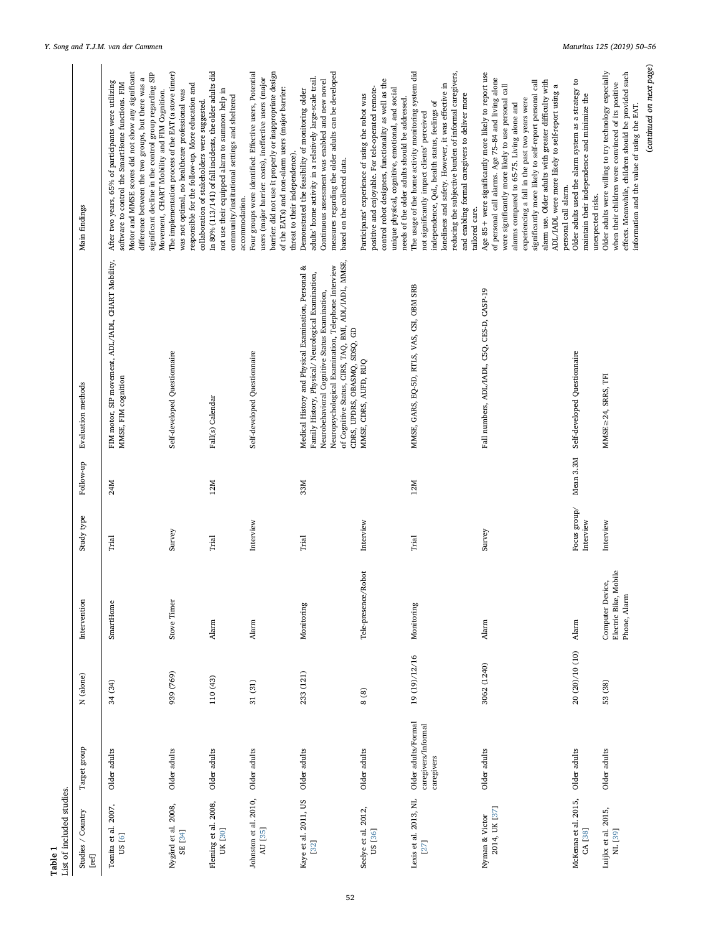<span id="page-2-0"></span>

| ist of included studies.         |                                                          |                 |                                                          |                           |           |                                                                                                                                                                                                                                                                                                              |                                                                                                                                                                                                                                                                                                                                                                                                                                                                  |
|----------------------------------|----------------------------------------------------------|-----------------|----------------------------------------------------------|---------------------------|-----------|--------------------------------------------------------------------------------------------------------------------------------------------------------------------------------------------------------------------------------------------------------------------------------------------------------------|------------------------------------------------------------------------------------------------------------------------------------------------------------------------------------------------------------------------------------------------------------------------------------------------------------------------------------------------------------------------------------------------------------------------------------------------------------------|
| Studies / Country<br>[ref]       | Target group                                             | N (alone)       | Intervention                                             | Study type                | Follow-up | Evaluation methods                                                                                                                                                                                                                                                                                           | Main findings                                                                                                                                                                                                                                                                                                                                                                                                                                                    |
| Tomita et al. 2007,<br>US [6]    | Older adults                                             | 34 (34)         | SmartHome                                                | Trial                     | 24M       | FIM motor, SIP movement, ADL/IADL, CHART Mobility,<br>MMSE, FIM cognition                                                                                                                                                                                                                                    | Motor and MMSE scores did not show any significant<br>significant decline in the control group regarding SIP<br>difference between the two groups, but there was a<br>After two years, 65% of participants were utilizing<br>software to control the SmartHome functions. FIM                                                                                                                                                                                    |
| Nygård et al. 2008,<br>SE [34]   | Older adults                                             | 939 (769)       | Stove Timer                                              | Survey                    |           | Self-developed Questiomaire                                                                                                                                                                                                                                                                                  | The implementation process of the EAT (a stove timer)<br>responsible for the follow-up. More education and<br>was not optimal, no healthcare professional was<br>Movement, CHART Mobility and FIM Cognition.<br>collaboration of stakeholders were suggested.                                                                                                                                                                                                    |
| Fleming et al. 2008,<br>UK [30]  | Older adults                                             | 110 (43)        | Alarm                                                    | Trial                     | 12M       | Fall(s) Calendar                                                                                                                                                                                                                                                                                             | In 80% (113/141) of fall incidents, the older adults did<br>not use their equipped alarm to summon help in<br>community/institutional settings and sheltered<br>accommodation.                                                                                                                                                                                                                                                                                   |
| Johnston et al. 2010,<br>AU [35] | Older adults                                             | 31 (31)         | Alarm                                                    | Interview                 |           | Self-developed Questionnaire                                                                                                                                                                                                                                                                                 | Four groups were identified: Effective users, Potential<br>barrier: did not use it properly or inappropriate design<br>users (major barrier: costs), ineffective users (major<br>of the EATs) and non-alarm users (major barrier:<br>threat to their independence).                                                                                                                                                                                              |
| Kaye et al. 2011, US<br>$[32]$   | Older adults                                             | 233 (121)       | Monitoring                                               | Trial                     | 33M       | of Cognitive Status, CIRS, TAQ, BMI, ADL/IADL, MMSE,<br>Neuropsychological Examination, Telephone Interview<br>Medical History and Physical Examination, Personal &<br>Family History, Physical/ Neurological Examination,<br>Neurobehavioral Cognitive Status Examination,<br>CDRS, UPDRS, OBASMQ, SDSQ, GD | measures regarding the older adults can be developed<br>adults' home activity in a relatively large-scale trail.<br>Continuous assessment was enabled and new novel<br>Demonstrated the feasibility of monitoring older<br>based on the collected data.                                                                                                                                                                                                          |
| Seelye et al. 2012,<br>US [36]   | Older adults                                             | 8(8)            | Tele-presence/Robot                                      | Interview                 |           | MMSE, CDRS, AUFD, RUQ                                                                                                                                                                                                                                                                                        | control robot designers, functionality as well as the<br>positive and enjoyable. For tele-operated remote-<br>unique physical, cognitive, emotional, and social<br>Participants' experience of using the robot was<br>needs of the older adults should be addressed.                                                                                                                                                                                             |
| Lexis et al. 2013, NL<br>[27]    | Older adults/Formal<br>caregivers/Informal<br>caregivers | 19 (19)/12/16   | Monitoring                                               | Trial                     | 12M       | MMSE, GARS, EQ-5D, RTLS, VAS, CSI, OBM SRB                                                                                                                                                                                                                                                                   | The usage of the home activity monitoring system did<br>reducing the subjective burden of informal caregivers,<br>loneliness and safety. However, it was effective in<br>and enabling formal caregivers to deliver more<br>independence, QoL, health status, feelings of<br>not significantly impact clients' perceived<br>tailored care.                                                                                                                        |
| 2014, UK [37]<br>Nyman & Victor  | Older adults                                             | 3062 (1240)     | Alarm                                                    | Survey                    |           | Fall numbers, ADL/IADL, C5Q, CES-D, CASP-19                                                                                                                                                                                                                                                                  | Age 85+ were significantly more likely to report use<br>of personal call alarms. Age 75-84 and living alone<br>alarm use. Older adults with greater difficulty with<br>significantly more likely to self-report personal call<br>were significantly more likely to use personal call<br>ADL/IADL were more likely to self-report using a<br>experiencing a fall in the past two years were<br>alarms compared to 65-75. Living alone and<br>personal call alarm. |
| McKenna et al. 2015,<br>CA [38]  | Older adults                                             | 20 (20)/10 (10) | Alarm                                                    | Focus group/<br>Interview | Mean 3.3M | Self-developed Questiomaire                                                                                                                                                                                                                                                                                  | Older adults used the alarm system as a strategy to<br>maintain their independence and minimize the<br>unexpected risks.                                                                                                                                                                                                                                                                                                                                         |
| Luijkx et al. 2015,<br>NL [39]   | Older adults                                             | 53 (38)         | Electric Bike, Mobile<br>Computer Device<br>Phone, Alarm | Interview                 |           | MMSE $\geq$ 24, SRRS, TFI                                                                                                                                                                                                                                                                                    | (continued on next page)<br>Older adults were willing to try technology especially<br>effects. Meanwhile, children should be provided such<br>when their children were convinced of its positive<br>information and the value of using the EAT.                                                                                                                                                                                                                  |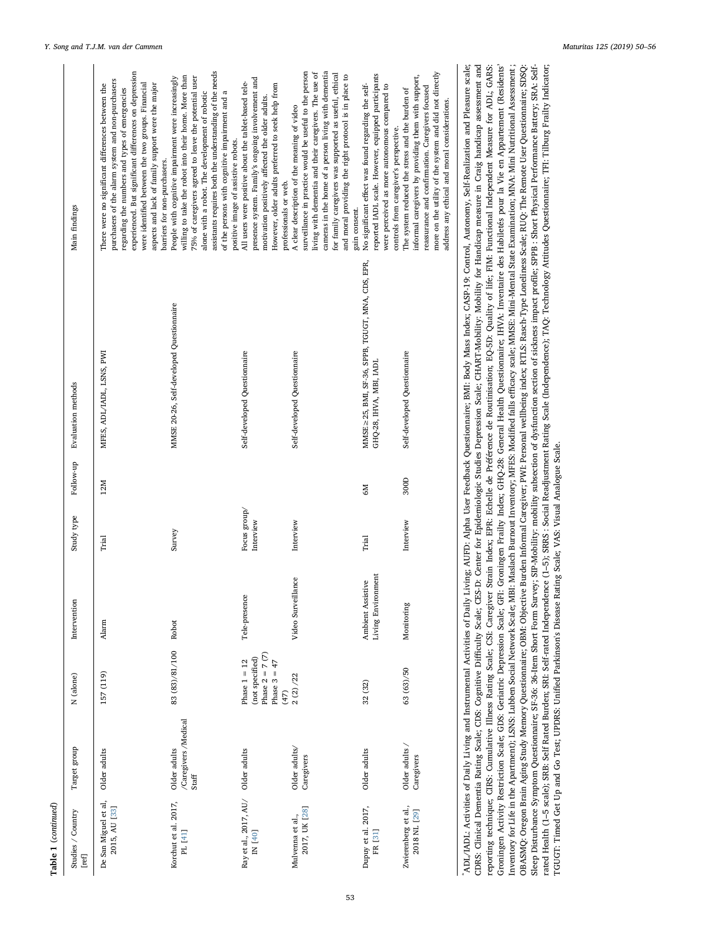| Main findings              | experienced. But significant differences on depression<br>purchasers of the alarm system and non-purchasers<br>were identified between the two groups. Financial<br>aspects and lack of family support were the major<br>There were no significant differences between the<br>regarding the numbers and types of emergencies<br>barriers for non-purchasers. | assistants requires both the understanding of the needs<br>willing to take the robot into their home. More than<br>People with cognitive impairment were increasingly<br>75% of caregivers agreed to leave the potential user<br>alone with a robot. The development of robotic<br>of the persons with cognitive impairment and a<br>positive image of assistive robots. | presence system. Family's ongoing involvement and<br>All users were positive about the tablet-based tele-<br>However, older adults preferred to seek help from<br>motivation positively affected the older adults.<br>professionals or web. | surveillance in practice would be useful to the person<br>cameras in the home of a person living with dementia<br>living with dementia and their caregivers. The use of<br>for family caregivers was supported as useful, ethical<br>and moral providing the right protocol is in place to<br>A clear description of the meaning of video<br>gain consent. | reported IADL scale. However, equipped participants<br>No significant effect was found regarding the self-<br>were perceived as more autonomous compared to<br>controls from caregiver's perspective. | more on the utility of the system and did not directly<br>informal caregivers by providing them with support,<br>reassurance and confirmation. Caregivers focused<br>The system reduced the stress and the burden of<br>address any ethical and moral considerations. |
|----------------------------|--------------------------------------------------------------------------------------------------------------------------------------------------------------------------------------------------------------------------------------------------------------------------------------------------------------------------------------------------------------|--------------------------------------------------------------------------------------------------------------------------------------------------------------------------------------------------------------------------------------------------------------------------------------------------------------------------------------------------------------------------|---------------------------------------------------------------------------------------------------------------------------------------------------------------------------------------------------------------------------------------------|------------------------------------------------------------------------------------------------------------------------------------------------------------------------------------------------------------------------------------------------------------------------------------------------------------------------------------------------------------|-------------------------------------------------------------------------------------------------------------------------------------------------------------------------------------------------------|-----------------------------------------------------------------------------------------------------------------------------------------------------------------------------------------------------------------------------------------------------------------------|
| Evaluation methods         | MFES, ADL/IADL, LSNS, PWI                                                                                                                                                                                                                                                                                                                                    | MMSE 20-26, Self-developed Questionnaire                                                                                                                                                                                                                                                                                                                                 | Self-developed Questionnaire                                                                                                                                                                                                                | Self-developed Questionnaire                                                                                                                                                                                                                                                                                                                               | MMSE ≥ 25, BMI, SF-36, SPPB, TGUGT, MNA, CDS, EPR,<br>GHQ-28, IHVA, MBI, IADL                                                                                                                         | Self-developed Questionnaire                                                                                                                                                                                                                                          |
| Follow-up                  | 12M                                                                                                                                                                                                                                                                                                                                                          |                                                                                                                                                                                                                                                                                                                                                                          |                                                                                                                                                                                                                                             |                                                                                                                                                                                                                                                                                                                                                            | <b>M</b>                                                                                                                                                                                              | 300D                                                                                                                                                                                                                                                                  |
| Study type                 | Trial                                                                                                                                                                                                                                                                                                                                                        | Survey                                                                                                                                                                                                                                                                                                                                                                   | Focus group/<br>Interview                                                                                                                                                                                                                   | Interview                                                                                                                                                                                                                                                                                                                                                  | Trial                                                                                                                                                                                                 | Interview                                                                                                                                                                                                                                                             |
| Intervention               | Alarm                                                                                                                                                                                                                                                                                                                                                        | Robot                                                                                                                                                                                                                                                                                                                                                                    | Tele-presence                                                                                                                                                                                                                               | Video Surveillance                                                                                                                                                                                                                                                                                                                                         | Living Environment<br>Ambient Assistive                                                                                                                                                               | Monitoring                                                                                                                                                                                                                                                            |
| N (alone)                  | 157 (119)                                                                                                                                                                                                                                                                                                                                                    | 83 (83)/81/100                                                                                                                                                                                                                                                                                                                                                           | Phase $2 = 7(7)$<br>(not specified)<br>Phase $1 = 12$<br>Phase $3 = 47$<br>(47)                                                                                                                                                             | 2(2)/22                                                                                                                                                                                                                                                                                                                                                    | 32 (32)                                                                                                                                                                                               | 63 (63)/50                                                                                                                                                                                                                                                            |
| Target group               | Older adults                                                                                                                                                                                                                                                                                                                                                 | /Caregivers /Medical<br>Older adults<br>Staff                                                                                                                                                                                                                                                                                                                            | Older adults                                                                                                                                                                                                                                | Older adults/<br>Caregivers                                                                                                                                                                                                                                                                                                                                | Older adults                                                                                                                                                                                          | Older adults /<br>Caregivers                                                                                                                                                                                                                                          |
| Studies / Country<br>[ref] | De San Miguel et al,<br>2015, AU [33]                                                                                                                                                                                                                                                                                                                        | Korchut et al. 2017,<br>PL [41]                                                                                                                                                                                                                                                                                                                                          | Ray et al., 2017, AU/<br>IN [40]                                                                                                                                                                                                            | 2017, UK [28]<br>Mulvenna et al.,                                                                                                                                                                                                                                                                                                                          | Dupuy et al. 2017,<br>FR [31]                                                                                                                                                                         | Zwierenberg et al.,<br>2018 NL [29]                                                                                                                                                                                                                                   |

\*ADL/IADL: Activities of Daily Living and Instrumental Activities of Daily Living; AUFD: Alpha User Feedback Questionnaire; BMI: Body Mass Index; CASP-19: Control, Autonomy, Self-Realization and Pleasure scale;<br>CDBS: Clini Groningen Activity Restriction Scale; GDS: Geriatric Depression Scale; GFI: Groningen Frailty Index; GFIQ-28: General Health Questionnaire; IHVA: Inventaire des Habiletés pour la Vie en Appartement (Residents' CDRS: Clinical Dementia Rating Scale; CDS: Cognitive Difficulty Scale; CES-D: Center for Epidemiologic Studies Depression Scale; CHART:Mobility: Mobility for Handicap measure in Craig handicap assessment and reporting technique; CIRS: Cumulative Illness Rating Scale; CSI: Caregiver Strain Index; EPR: Echelle de Préférence de Routinisation; EQ-5D: Quality of life; FIM: Functional Independent Measure for ADL; GARS: Inventory for Life in the Apartment); LSNS: Lubben Social Network Scale; MBs: Maslach Burnout Inventory; MFES: Modified falls efficacy scale; MMSE: Mini-Mental State Examination; MNA: Mini Nutritional Assessment ; OBASMQ: Oregon Brain Aging Study Memory Questionnaire; OBM: Objective Burden Informal Caregiver; PWI: Personal wellbeing index; RTLS: Rasch-Type Loneliness Scale; RUQ: The Remote User Questionnaire; SDSQ: rated Health (1-5 scale); SRB: Self Rated Burden; SRI: Self-rated Independence (1-5); SRRS : Social Readjustment Rating Scale (Independence); TAQ: Technology Attitudes Questionnaire; TFI: Tilburg Frailty Indicator; \*ADL/IADL: Activities of Daily Living and Instrumental Activities of Daily Living; AUFD: Alpha User Feedback Questionnaire; BMI: Body Mass Index; CASP-19: Control, Autonomy, Self-Realization and Pleasure scale; fficulty Scale; CES-D: Center for Epidemiologic Studies Depression Scale; CHART-Mobility: Mobility for Handicap measure in Craig handicap assessment and reporting technique; CIRS: Cumulative Illness Rating Scale; CSI: Caregiver Strain Index; EPR: Echelle de Préférence de Routinisation; EQ-5D: Quality of life; FIM: Functional Independent Measure for ADL; GARS: Groningen Activity Restriction Scale; GDS: Geriatric Depression Scale; GFI: Groningen Frailty Index; GHQ-28: General Health Questionnaire; IHVA: Inventaire des Habiletés pour la Vie en Appartement (Residents' fficacy scale; MMSE: Mini-Mental State Examination; MNA: Mini Nutritional Assessment ; OBASMQ: Oregon Brain Aging Study Memory Questionnaire; OBM: Objective Burden Informal Caregiver; PWI: Personal wellbeing index; RTLS: Rasch-Type Loneliness Scale; RUQ: The Remote User Questionnaire; SDSQ: Sleep Disturbance Symptom Questionnaire; SF-36: 36-Item Short Form Survey; SIP-Mobility: mobility subsection of dystunction section of sidences impact profile; SPPB : Short Physical Performance Battery; SRA: Self-Sleep Disturbance Symptom Questionnaire; SF-36: 36-Item Short Form Survey; SIP-Mobility: mobility subsection of dysfunction section of sickness impact profile; SPPB : Short Physical Performance Battery; SRA: Selfrated Health (1–5 scale); SRB: Self Rated Burden; SRI: Self-rated Independence (1–5); SRRS : Social Readjustment Rating Scale (Independence); TAQ: Technology Attitudes Questionnaire; TFI: Tilburg Frailty Indicator; Inventory for Life in the Apartment); LSNS: Lubben Social Network Scale; MBI: Maslach Burnout Inventory; MFES: Modified falls e TGUGT: Timed Get Up and Go Test; UPDRS: Unified Parkinson's Disease Rating Scale; VAS: Visual Analogue Scale. TGUGT: Timed Get Up and Go Test; UPDRS: Unified Parkinson's Disease Rating Scale; VAS: Visual Analogue Scale. CDRS: Clinical Dementia Rating Scale; CDS: Cognitive Di

 $\mathbf{I}$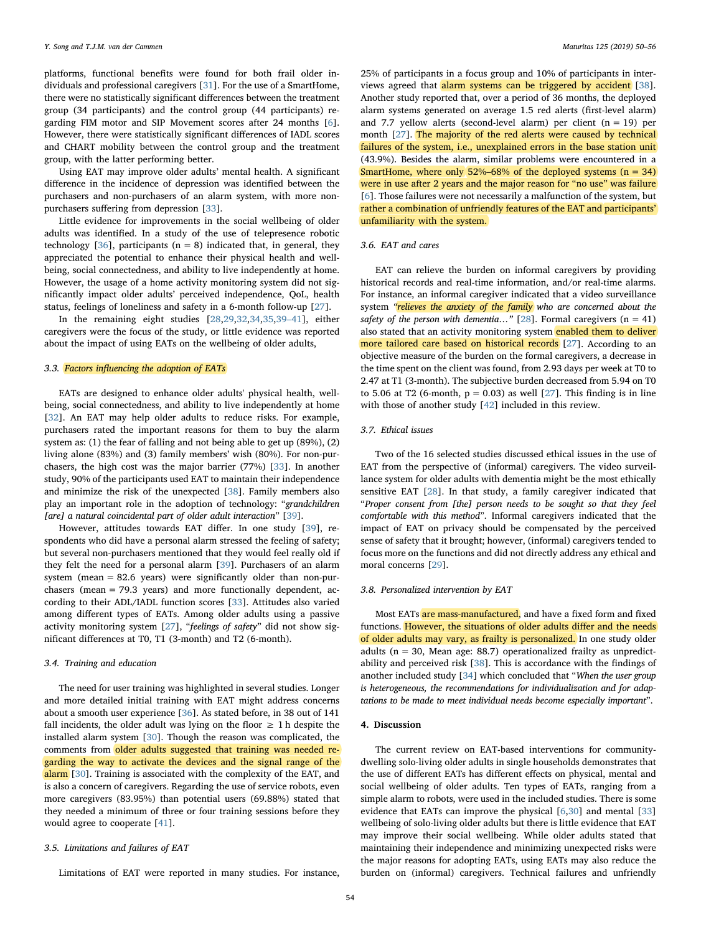platforms, functional benefits were found for both frail older individuals and professional caregivers [[31](#page-6-13)]. For the use of a SmartHome, there were no statistically significant differences between the treatment group (34 participants) and the control group (44 participants) regarding FIM motor and SIP Movement scores after 24 months [[6](#page-5-5)]. However, there were statistically significant differences of IADL scores and CHART mobility between the control group and the treatment group, with the latter performing better.

Using EAT may improve older adults' mental health. A significant difference in the incidence of depression was identified between the purchasers and non-purchasers of an alarm system, with more nonpurchasers suffering from depression [[33\]](#page-6-15).

Little evidence for improvements in the social wellbeing of older adults was identified. In a study of the use of telepresence robotic technology [\[36](#page-6-20)], participants ( $n = 8$ ) indicated that, in general, they appreciated the potential to enhance their physical health and wellbeing, social connectedness, and ability to live independently at home. However, the usage of a home activity monitoring system did not significantly impact older adults' perceived independence, QoL, health status, feelings of loneliness and safety in a 6-month follow-up [\[27](#page-6-9)].

In the remaining eight studies [[28,](#page-6-10)[29,](#page-6-11)[32](#page-6-19)[,34](#page-6-14),[35](#page-6-18),39–[41\]](#page-6-21), either caregivers were the focus of the study, or little evidence was reported about the impact of using EATs on the wellbeing of older adults,

## 3.3. Factors influencing the adoption of EATs

EATs are designed to enhance older adults' physical health, wellbeing, social connectedness, and ability to live independently at home [[32\]](#page-6-19). An EAT may help older adults to reduce risks. For example, purchasers rated the important reasons for them to buy the alarm system as: (1) the fear of falling and not being able to get up (89%), (2) living alone (83%) and (3) family members' wish (80%). For non-purchasers, the high cost was the major barrier (77%) [[33\]](#page-6-15). In another study, 90% of the participants used EAT to maintain their independence and minimize the risk of the unexpected [[38\]](#page-6-16). Family members also play an important role in the adoption of technology: "grandchildren [are] a natural coincidental part of older adult interaction" [[39\]](#page-6-21).

However, attitudes towards EAT differ. In one study [[39\]](#page-6-21), respondents who did have a personal alarm stressed the feeling of safety; but several non-purchasers mentioned that they would feel really old if they felt the need for a personal alarm [[39\]](#page-6-21). Purchasers of an alarm system (mean  $= 82.6$  years) were significantly older than non-purchasers (mean = 79.3 years) and more functionally dependent, according to their ADL/IADL function scores [[33\]](#page-6-15). Attitudes also varied among different types of EATs. Among older adults using a passive activity monitoring system [\[27](#page-6-9)], "feelings of safety" did not show significant differences at T0, T1 (3-month) and T2 (6-month).

#### 3.4. Training and education

The need for user training was highlighted in several studies. Longer and more detailed initial training with EAT might address concerns about a smooth user experience [[36\]](#page-6-20). As stated before, in 38 out of 141 fall incidents, the older adult was lying on the floor  $\geq 1$  h despite the installed alarm system [[30\]](#page-6-12). Though the reason was complicated, the comments from older adults suggested that training was needed regarding the way to activate the devices and the signal range of the alarm [[30\]](#page-6-12). Training is associated with the complexity of the EAT, and is also a concern of caregivers. Regarding the use of service robots, even more caregivers (83.95%) than potential users (69.88%) stated that they needed a minimum of three or four training sessions before they would agree to cooperate [\[41](#page-6-22)].

## 3.5. Limitations and failures of EAT

Limitations of EAT were reported in many studies. For instance,

25% of participants in a focus group and 10% of participants in inter-views agreed that alarm systems can be triggered by accident [\[38](#page-6-16)]. Another study reported that, over a period of 36 months, the deployed alarm systems generated on average 1.5 red alerts (first-level alarm) and 7.7 yellow alerts (second-level alarm) per client  $(n = 19)$  per month [\[27](#page-6-9)]. The majority of the red alerts were caused by technical failures of the system, i.e., unexplained errors in the base station unit (43.9%). Besides the alarm, similar problems were encountered in a SmartHome, where only 52%–68% of the deployed systems  $(n = 34)$ were in use after 2 years and the major reason for "no use" was failure [[6](#page-5-5)]. Those failures were not necessarily a malfunction of the system, but rather a combination of unfriendly features of the EAT and participants' unfamiliarity with the system.

## 3.6. EAT and cares

EAT can relieve the burden on informal caregivers by providing historical records and real-time information, and/or real-time alarms. For instance, an informal caregiver indicated that a video surveillance system "relieves the anxiety of the family who are concerned about the safety of the person with dementia..." [\[28](#page-6-10)]. Formal caregivers  $(n = 41)$ also stated that an activity monitoring system enabled them to deliver more tailored care based on historical records [\[27\]](#page-6-9). According to an objective measure of the burden on the formal caregivers, a decrease in the time spent on the client was found, from 2.93 days per week at T0 to 2.47 at T1 (3-month). The subjective burden decreased from 5.94 on T0 to 5.06 at T2 (6-month,  $p = 0.03$ ) as well [\[27](#page-6-9)]. This finding is in line with those of another study [\[42](#page-6-24)] included in this review.

## 3.7. Ethical issues

Two of the 16 selected studies discussed ethical issues in the use of EAT from the perspective of (informal) caregivers. The video surveillance system for older adults with dementia might be the most ethically sensitive EAT [\[28](#page-6-10)]. In that study, a family caregiver indicated that "Proper consent from [the] person needs to be sought so that they feel comfortable with this method". Informal caregivers indicated that the impact of EAT on privacy should be compensated by the perceived sense of safety that it brought; however, (informal) caregivers tended to focus more on the functions and did not directly address any ethical and moral concerns [[29\]](#page-6-11).

## 3.8. Personalized intervention by EAT

Most EATs are mass-manufactured, and have a fixed form and fixed functions. However, the situations of older adults differ and the needs of older adults may vary, as frailty is personalized. In one study older adults ( $n = 30$ , Mean age: 88.7) operationalized frailty as unpredictability and perceived risk [[38\]](#page-6-16). This is accordance with the findings of another included study [\[34](#page-6-14)] which concluded that "When the user group is heterogeneous, the recommendations for individualization and for adaptations to be made to meet individual needs become especially important".

## 4. Discussion

The current review on EAT-based interventions for communitydwelling solo-living older adults in single households demonstrates that the use of different EATs has different effects on physical, mental and social wellbeing of older adults. Ten types of EATs, ranging from a simple alarm to robots, were used in the included studies. There is some evidence that EATs can improve the physical [\[6,](#page-5-5)[30\]](#page-6-12) and mental [\[33](#page-6-15)] wellbeing of solo-living older adults but there is little evidence that EAT may improve their social wellbeing. While older adults stated that maintaining their independence and minimizing unexpected risks were the major reasons for adopting EATs, using EATs may also reduce the burden on (informal) caregivers. Technical failures and unfriendly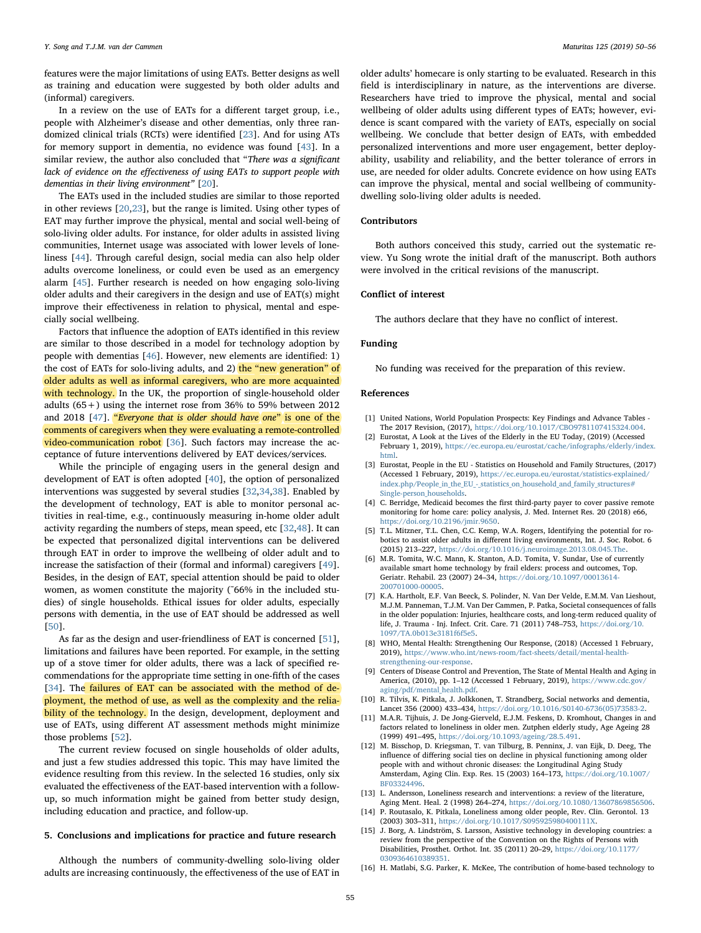features were the major limitations of using EATs. Better designs as well as training and education were suggested by both older adults and (informal) caregivers.

In a review on the use of EATs for a different target group, i.e., people with Alzheimer's disease and other dementias, only three randomized clinical trials (RCTs) were identified [\[23](#page-6-6)]. And for using ATs for memory support in dementia, no evidence was found [[43\]](#page-6-25). In a similar review, the author also concluded that "There was a significant lack of evidence on the effectiveness of using EATs to support people with dementias in their living environment" [\[20](#page-6-3)].

The EATs used in the included studies are similar to those reported in other reviews [[20](#page-6-3)[,23](#page-6-6)], but the range is limited. Using other types of EAT may further improve the physical, mental and social well-being of solo-living older adults. For instance, for older adults in assisted living communities, Internet usage was associated with lower levels of loneliness [[44\]](#page-6-26). Through careful design, social media can also help older adults overcome loneliness, or could even be used as an emergency alarm [\[45](#page-6-27)]. Further research is needed on how engaging solo-living older adults and their caregivers in the design and use of EAT(s) might improve their effectiveness in relation to physical, mental and especially social wellbeing.

Factors that influence the adoption of EATs identified in this review are similar to those described in a model for technology adoption by people with dementias [\[46](#page-6-28)]. However, new elements are identified: 1) the cost of EATs for solo-living adults, and 2) the "new generation" of older adults as well as informal caregivers, who are more acquainted with technology. In the UK, the proportion of single-household older adults (65+) using the internet rose from 36% to 59% between 2012 and 2018 [[47\]](#page-6-29). "Everyone that is older should have one" is one of the comments of caregivers when they were evaluating a remote-controlled video-communication robot [[36](#page-6-20)]. Such factors may increase the acceptance of future interventions delivered by EAT devices/services.

While the principle of engaging users in the general design and development of EAT is often adopted [\[40](#page-6-23)], the option of personalized interventions was suggested by several studies [\[32](#page-6-19)[,34](#page-6-14),[38\]](#page-6-16). Enabled by the development of technology, EAT is able to monitor personal activities in real-time, e.g., continuously measuring in-home older adult activity regarding the numbers of steps, mean speed, etc [[32](#page-6-19)[,48](#page-6-30)]. It can be expected that personalized digital interventions can be delivered through EAT in order to improve the wellbeing of older adult and to increase the satisfaction of their (formal and informal) caregivers [\[49](#page-6-31)]. Besides, in the design of EAT, special attention should be paid to older women, as women constitute the majority (~66% in the included studies) of single households. Ethical issues for older adults, especially persons with dementia, in the use of EAT should be addressed as well [[50\]](#page-6-32).

As far as the design and user-friendliness of EAT is concerned [\[51](#page-6-33)], limitations and failures have been reported. For example, in the setting up of a stove timer for older adults, there was a lack of specified recommendations for the appropriate time setting in one-fifth of the cases [[34\]](#page-6-14). The failures of EAT can be associated with the method of deployment, the method of use, as well as the complexity and the reliability of the technology. In the design, development, deployment and use of EATs, using different AT assessment methods might minimize those problems [[52\]](#page-6-34).

The current review focused on single households of older adults, and just a few studies addressed this topic. This may have limited the evidence resulting from this review. In the selected 16 studies, only six evaluated the effectiveness of the EAT-based intervention with a followup, so much information might be gained from better study design, including education and practice, and follow-up.

#### 5. Conclusions and implications for practice and future research

Although the numbers of community-dwelling solo-living older adults are increasing continuously, the effectiveness of the use of EAT in

older adults' homecare is only starting to be evaluated. Research in this field is interdisciplinary in nature, as the interventions are diverse. Researchers have tried to improve the physical, mental and social wellbeing of older adults using different types of EATs; however, evidence is scant compared with the variety of EATs, especially on social wellbeing. We conclude that better design of EATs, with embedded personalized interventions and more user engagement, better deployability, usability and reliability, and the better tolerance of errors in use, are needed for older adults. Concrete evidence on how using EATs can improve the physical, mental and social wellbeing of communitydwelling solo-living older adults is needed.

## Contributors

Both authors conceived this study, carried out the systematic review. Yu Song wrote the initial draft of the manuscript. Both authors were involved in the critical revisions of the manuscript.

#### Conflict of interest

The authors declare that they have no conflict of interest.

#### Funding

No funding was received for the preparation of this review.

#### References

- <span id="page-5-0"></span>[1] United Nations, World Population Prospects: Key Findings and Advance Tables - The 2017 Revision, (2017), [https://doi.org/10.1017/CBO9781107415324.004.](https://doi.org/10.1017/CBO9781107415324.004)
- <span id="page-5-1"></span>[2] Eurostat, A Look at the Lives of the Elderly in the EU Today, (2019) (Accessed February 1, 2019), [https://ec.europa.eu/eurostat/cache/infographs/elderly/index.](https://ec.europa.eu/eurostat/cache/infographs/elderly/index.html) [html](https://ec.europa.eu/eurostat/cache/infographs/elderly/index.html).
- <span id="page-5-2"></span>[3] Eurostat, People in the EU - Statistics on Household and Family Structures, (2017) (Accessed 1 February, 2019), [https://ec.europa.eu/eurostat/statistics-explained/](https://ec.europa.eu/eurostat/statistics-explained/index.php/People_in_the_EU_-_statistics_on_household_and_family_structures#Single-person_households) [index.php/People\\_in\\_the\\_EU\\_-\\_statistics\\_on\\_household\\_and\\_family\\_structures#](https://ec.europa.eu/eurostat/statistics-explained/index.php/People_in_the_EU_-_statistics_on_household_and_family_structures#Single-person_households) [Single-person\\_households.](https://ec.europa.eu/eurostat/statistics-explained/index.php/People_in_the_EU_-_statistics_on_household_and_family_structures#Single-person_households)
- <span id="page-5-3"></span>[4] C. Berridge, Medicaid becomes the first third-party payer to cover passive remote monitoring for home care: policy analysis, J. Med. Internet Res. 20 (2018) e66, [https://doi.org/10.2196/jmir.9650.](https://doi.org/10.2196/jmir.9650)
- <span id="page-5-4"></span>[5] T.L. Mitzner, T.L. Chen, C.C. Kemp, W.A. Rogers, Identifying the potential for robotics to assist older adults in different living environments, Int. J. Soc. Robot. 6 (2015) 213–227, [https://doi.org/10.1016/j.neuroimage.2013.08.045.The.](https://doi.org/10.1016/j.neuroimage.2013.08.045.The)
- <span id="page-5-5"></span>[6] M.R. Tomita, W.C. Mann, K. Stanton, A.D. Tomita, V. Sundar, Use of currently available smart home technology by frail elders: process and outcomes, Top. Geriatr. Rehabil. 23 (2007) 24–34, [https://doi.org/10.1097/00013614-](https://doi.org/10.1097/00013614-200701000-00005) [200701000-00005.](https://doi.org/10.1097/00013614-200701000-00005)
- <span id="page-5-6"></span>[7] K.A. Hartholt, E.F. Van Beeck, S. Polinder, N. Van Der Velde, E.M.M. Van Lieshout, M.J.M. Panneman, T.J.M. Van Der Cammen, P. Patka, Societal consequences of falls in the older population: Injuries, healthcare costs, and long-term reduced quality of life, J. Trauma - Inj. Infect. Crit. Care. 71 (2011) 748–753, [https://doi.org/10.](https://doi.org/10.1097/TA.0b013e3181f6f5e5) [1097/TA.0b013e3181f6f5e5.](https://doi.org/10.1097/TA.0b013e3181f6f5e5)
- <span id="page-5-7"></span>[8] WHO, Mental Health: Strengthening Our Response, (2018) (Accessed 1 February, 2019), [https://www.who.int/news-room/fact-sheets/detail/mental-health](https://www.who.int/news-room/fact-sheets/detail/mental-health-strengthening-our-response)[strengthening-our-response](https://www.who.int/news-room/fact-sheets/detail/mental-health-strengthening-our-response).
- <span id="page-5-8"></span>[9] Centers of Disease Control and Prevention, The State of Mental Health and Aging in America, (2010), pp. 1-12 (Accessed 1 February, 2019), [https://www.cdc.gov/](https://www.cdc.gov/aging/pdf/mental_health.pdf) [aging/pdf/mental\\_health.pdf.](https://www.cdc.gov/aging/pdf/mental_health.pdf)
- <span id="page-5-9"></span>[10] R. Tilvis, K. Pitkala, J. Jolkkonen, T. Strandberg, Social networks and dementia, Lancet 356 (2000) 433–434, [https://doi.org/10.1016/S0140-6736\(05\)73583-2.](https://doi.org/10.1016/S0140-6736(05)73583-2)
- <span id="page-5-10"></span>[11] M.A.R. Tijhuis, J. De Jong-Gierveld, E.J.M. Feskens, D. Kromhout, Changes in and factors related to loneliness in older men. Zutphen elderly study, Age Ageing 28 (1999) 491–495, [https://doi.org/10.1093/ageing/28.5.491.](https://doi.org/10.1093/ageing/28.5.491)
- <span id="page-5-11"></span>[12] M. Bisschop, D. Kriegsman, T. van Tilburg, B. Penninx, J. van Eijk, D. Deeg, The influence of differing social ties on decline in physical functioning among older people with and without chronic diseases: the Longitudinal Aging Study Amsterdam, Aging Clin. Exp. Res. 15 (2003) 164–173, [https://doi.org/10.1007/](https://doi.org/10.1007/BF03324496) [BF03324496.](https://doi.org/10.1007/BF03324496)
- <span id="page-5-12"></span>[13] L. Andersson, Loneliness research and interventions: a review of the literature, Aging Ment. Heal. 2 (1998) 264–274, [https://doi.org/10.1080/13607869856506.](https://doi.org/10.1080/13607869856506)
- <span id="page-5-13"></span>[14] P. Routasalo, K. Pitkala, Loneliness among older people, Rev. Clin. Gerontol. 13 (2003) 303–311, [https://doi.org/10.1017/S095925980400111X.](https://doi.org/10.1017/S095925980400111X)
- <span id="page-5-14"></span>[15] J. Borg, A. Lindström, S. Larsson, Assistive technology in developing countries: a review from the perspective of the Convention on the Rights of Persons with Disabilities, Prosthet. Orthot. Int. 35 (2011) 20–29, [https://doi.org/10.1177/](https://doi.org/10.1177/0309364610389351) [0309364610389351.](https://doi.org/10.1177/0309364610389351)
- <span id="page-5-15"></span>[16] H. Matlabi, S.G. Parker, K. McKee, The contribution of home-based technology to